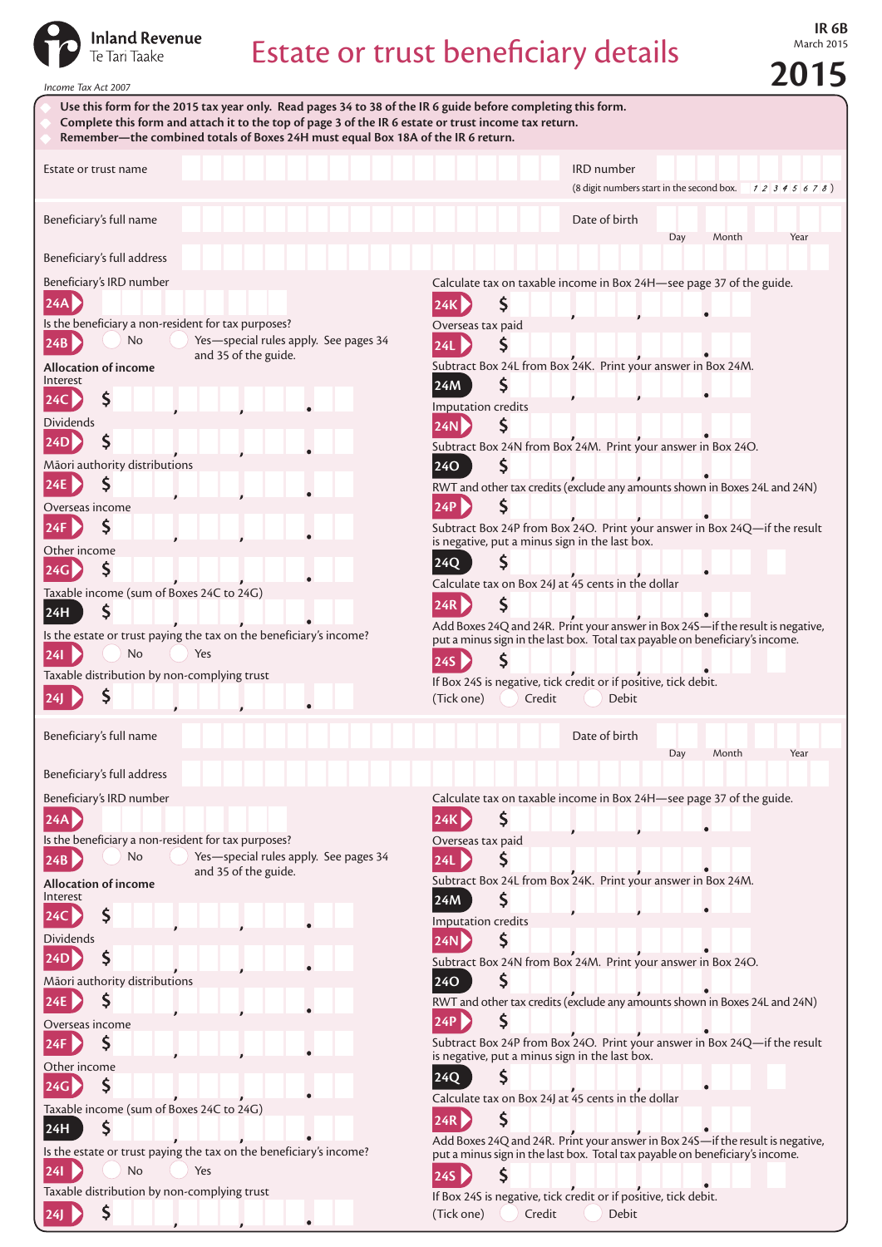

## Estate or trust beneficiary details

**IR 6B**<br>March 2015

**2015** *Income Tax Act 2007* • **Use this form for the 2015 tax year only. Read pages 34 to 38 of the IR 6 guide before completing this form.** • **Complete this form and attach it to the top of page 3 of the IR 6 estate or trust income tax return.** • **Remember—the combined totals of Boxes 24H must equal Box 18A of the IR 6 return.** Estate or trust name IRD number (8 digit numbers start in the second box. ) Beneficiary's full name Date of birth and Date of birth Date of birth Date of birth Date of birth Date of birth Day Month Year Beneficiary's full address Beneficiary's IRD number Calculate tax on taxable income in Box 24H—see page 37 of the guide. **24A 24K** Ś Is the beneficiary a non-resident for tax purposes? Overseas tax paid **24B** No Yes—special rules apply. See pages 34 **24L** Ś and 35 of the guide. **Allocation of income** Subtract Box 24L from Box 24K. Print your answer in Box 24M. Interest **24M** S **24C** Ś Imputation credits Dividends **24N** Ś **24D** S Subtract Box 24N from Box 24M. Print your answer in Box 24O. Māori authority distributions **24O** ς  $\mathsf{S}$ **24E** RWT and other tax credits (exclude any amounts shown in Boxes 24L and 24N) **24P** Overseas income S Ś **24F** Subtract Box 24P from Box 24O. Print your answer in Box 24Q—if the result is negative, put a minus sign in the last box. Other income **24Q 24G** \$ Calculate tax on Box 24J at 45 cents in the dollar Taxable income (sum of Boxes 24C to 24G) **24R** Ś <sup>\$</sup> **24H** Add Boxes 24Q and 24R. Print your answer in Box 24S—if the result is negative, Is the estate or trust paying the tax on the beneficiary's income? put a minus sign in the last box. Total tax payable on beneficiary's income. **24I** No Yes **24S** Taxable distribution by non-complying trust If Box 24S is negative, tick credit or if positive, tick debit. **24J** (Tick one) Credit Debit Beneficiary's full name Date of birth Day Month Year Beneficiary's full address Calculate tax on taxable income in Box 24H—see page 37 of the guide. Beneficiary's IRD number **24K** Ś **24A** Is the beneficiary a non-resident for tax purposes? Overseas tax paid **24B** No Yes—special rules apply. See pages 34 **24L** \$ and 35 of the guide. Subtract Box 24L from Box 24K. Print your answer in Box 24M. **Allocation of income** Interest **24M** Ś Ś **24C** Imputation credits Dividends **24N** Ś S **24D** Subtract Box 24N from Box 24M. Print your answer in Box 24O. Māori authority distributions **24O** Ś Ś **24E** RWT and other tax credits (exclude any amounts shown in Boxes 24L and 24N) **24P** Overseas income  $\mathsf{\hat{S}}$ Subtract Box 24P from Box 24O. Print your answer in Box 24Q—if the result **24F** is negative, put a minus sign in the last box. Other income **24Q** Ś **24G** Calculate tax on Box 24J at 45 cents in the dollar Taxable income (sum of Boxes 24C to 24G) **24R 24H** Add Boxes 24Q and 24R. Print your answer in Box 24S—if the result is negative, Is the estate or trust paying the tax on the beneficiary's income? put a minus sign in the last box. Total tax payable on beneficiary's income. **24I** No Yes **24S** Taxable distribution by non-complying trust If Box 24S is negative, tick credit or if positive, tick debit. S (Tick one) Credit Debit **24J**